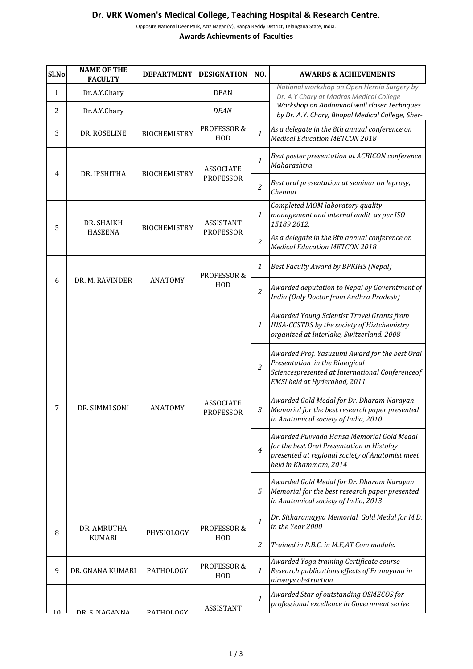## **Dr. VRK Women's Medical College, Teaching Hospital & Research Centre.**

Opposite National Deer Park, Aziz Nagar (V), Ranga Reddy District, Telangana State, India. **Awards Achievments of Faculties**

| Sl.No | <b>NAME OF THE</b><br><b>FACULTY</b> | <b>DEPARTMENT</b>   | <b>DESIGNATION</b>                   | NO.              | <b>AWARDS &amp; ACHIEVEMENTS</b>                                                                                                                                    |
|-------|--------------------------------------|---------------------|--------------------------------------|------------------|---------------------------------------------------------------------------------------------------------------------------------------------------------------------|
| 1     | Dr.A.Y.Chary                         |                     | <b>DEAN</b>                          |                  | National workshop on Open Hernia Surgery by<br>Dr. A Y Chary at Madras Medical College                                                                              |
| 2     | Dr.A.Y.Chary                         |                     | <b>DEAN</b>                          |                  | Workshop on Abdominal wall closer Technques<br>by Dr. A.Y. Chary, Bhopal Medical College, Sher-                                                                     |
| 3     | DR. ROSELINE                         | <b>BIOCHEMISTRY</b> | PROFESSOR &<br>HOD                   | $\mathbf{1}$     | As a delegate in the 8th annual conference on<br><b>Medical Education METCON 2018</b>                                                                               |
| 4     | DR. IPSHITHA                         | <b>BIOCHEMISTRY</b> | <b>ASSOCIATE</b><br><b>PROFESSOR</b> | 1                | Best poster presentation at ACBICON conference<br>Maharashtra                                                                                                       |
|       |                                      |                     |                                      | $\overline{2}$   | Best oral presentation at seminar on leprosy,<br>Chennai.                                                                                                           |
| 5     | DR. SHAIKH<br><b>HASEENA</b>         | <b>BIOCHEMISTRY</b> | <b>ASSISTANT</b><br><b>PROFESSOR</b> | $\mathbf{1}$     | Completed IAOM laboratory quality<br>management and internal audit as per ISO<br>15189 2012.                                                                        |
|       |                                      |                     |                                      | $\overline{c}$   | As a delegate in the 8th annual conference on<br><b>Medical Education METCON 2018</b>                                                                               |
| 6     | DR. M. RAVINDER                      | <b>ANATOMY</b>      | PROFESSOR &<br>HOD                   | 1                | <b>Best Faculty Award by BPKIHS (Nepal)</b>                                                                                                                         |
|       |                                      |                     |                                      | $\overline{c}$   | Awarded deputation to Nepal by Governtment of<br>India (Only Doctor from Andhra Pradesh)                                                                            |
| 7     | DR. SIMMI SONI                       | <b>ANATOMY</b>      | <b>ASSOCIATE</b><br><b>PROFESSOR</b> | $\mathbf{1}$     | Awarded Young Scientist Travel Grants from<br>INSA-CCSTDS by the society of Histchemistry<br>organized at Interlake, Switzerland. 2008                              |
|       |                                      |                     |                                      | $\overline{2}$   | Awarded Prof. Yasuzumi Award for the best Oral<br>Presentation in the Biological<br>Sciencespresented at International Conferenceof<br>EMSI held at Hyderabad, 2011 |
|       |                                      |                     |                                      | $\mathfrak{Z}$   | Awarded Gold Medal for Dr. Dharam Narayan<br>Memorial for the best research paper presented<br>in Anatomical society of India, 2010                                 |
|       |                                      |                     |                                      | 4                | Awarded Puvvada Hansa Memorial Gold Medal<br>for the best Oral Presentation in Histoloy<br>presented at regional society of Anatomist meet<br>held in Khammam, 2014 |
|       |                                      |                     |                                      | 5                | Awarded Gold Medal for Dr. Dharam Narayan<br>Memorial for the best research paper presented<br>in Anatomical society of India, 2013                                 |
| 8     | DR. AMRUTHA<br><b>KUMARI</b>         | PHYSIOLOGY          | PROFESSOR &<br>HOD                   | $\mathbf{1}$     | Dr. Sitharamayya Memorial Gold Medal for M.D.<br>in the Year 2000                                                                                                   |
|       |                                      |                     |                                      | 2                | Trained in R.B.C. in M.E,AT Com module.                                                                                                                             |
| 9     | DR. GNANA KUMARI                     | PATHOLOGY           | PROFESSOR &<br>HOD                   | $\boldsymbol{1}$ | Awarded Yoga training Certificate course<br>Research publications effects of Pranayana in<br>airways obstruction                                                    |
| 10    | DD C NACANNA                         | <b>DATHOLOCY</b>    | <b>ASSISTANT</b>                     | 1                | Awarded Star of outstanding OSMECOS for<br>professional excellence in Government serive                                                                             |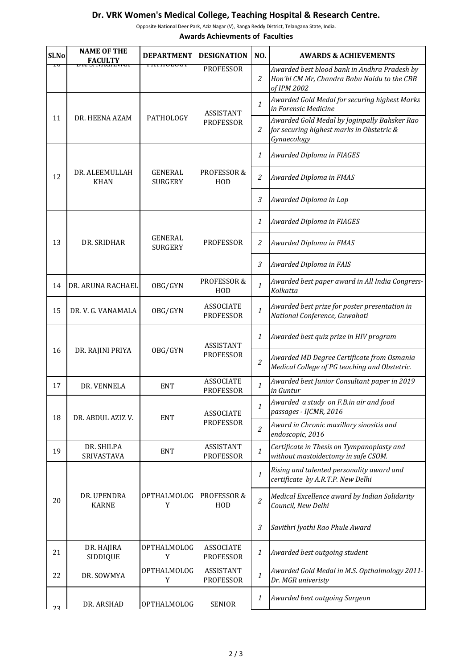## **Dr. VRK Women's Medical College, Teaching Hospital & Research Centre.**

Opposite National Deer Park, Aziz Nagar (V), Ranga Reddy District, Telangana State, India.

**Awards Achievments of Faculties**

| Sl.No          | <b>NAME OF THE</b><br><b>FACULTY</b> | <b>DEPARTMENT</b>                | <b>DESIGNATION</b>                   | NO.            | <b>AWARDS &amp; ACHIEVEMENTS</b>                                                                           |
|----------------|--------------------------------------|----------------------------------|--------------------------------------|----------------|------------------------------------------------------------------------------------------------------------|
| ΙV             |                                      | LATHVLVUT                        | <b>PROFESSOR</b>                     | 2              | Awarded best blood bank in Andhra Pradesh by<br>Hon'bl CM Mr, Chandra Babu Naidu to the CBB<br>of IPM 2002 |
| 11             | DR. HEENA AZAM                       | PATHOLOGY                        | <b>ASSISTANT</b><br><b>PROFESSOR</b> | $\mathbf{1}$   | Awarded Gold Medal for securing highest Marks<br>in Forensic Medicine                                      |
|                |                                      |                                  |                                      | $\overline{2}$ | Awarded Gold Medal by Joginpally Bahsker Rao<br>for securing highest marks in Obstetric &<br>Gynaecology   |
|                |                                      |                                  |                                      | $\mathbf{1}$   | Awarded Diploma in FIAGES                                                                                  |
| 12             | DR. ALEEMULLAH<br><b>KHAN</b>        | <b>GENERAL</b><br><b>SURGERY</b> | PROFESSOR &<br>HOD                   | 2              | Awarded Diploma in FMAS                                                                                    |
|                |                                      |                                  |                                      | $\mathfrak{Z}$ | Awarded Diploma in Lap                                                                                     |
|                | DR. SRIDHAR                          | <b>GENERAL</b><br><b>SURGERY</b> | <b>PROFESSOR</b>                     | $\mathbf{1}$   | Awarded Diploma in FIAGES                                                                                  |
| 13             |                                      |                                  |                                      | $\overline{c}$ | Awarded Diploma in FMAS                                                                                    |
|                |                                      |                                  |                                      | $\mathfrak{Z}$ | Awarded Diploma in FAIS                                                                                    |
| 14             | DR. ARUNA RACHAEL                    | OBG/GYN                          | PROFESSOR &<br>HOD                   | $\mathbf{1}$   | Awarded best paper award in All India Congress-<br>Kolkatta                                                |
| 15             | DR. V. G. VANAMALA                   | OBG/GYN                          | <b>ASSOCIATE</b><br><b>PROFESSOR</b> | $\mathbf{1}$   | Awarded best prize for poster presentation in<br>National Conference, Guwahati                             |
| 16             | DR. RAJINI PRIYA                     | OBG/GYN                          | <b>ASSISTANT</b><br><b>PROFESSOR</b> | $\mathbf{1}$   | Awarded best quiz prize in HIV program                                                                     |
|                |                                      |                                  |                                      | $\overline{c}$ | Awarded MD Degree Certificate from Osmania<br>Medical College of PG teaching and Obstetric.                |
| 17             | DR. VENNELA                          | <b>ENT</b>                       | <b>ASSOCIATE</b><br><b>PROFESSOR</b> | $\mathbf{1}$   | Awarded best Junior Consultant paper in 2019<br>in Guntur                                                  |
| 18             | DR. ABDUL AZIZ V.                    | <b>ENT</b>                       | <b>ASSOCIATE</b><br><b>PROFESSOR</b> | 1              | Awarded a study on F.B.in air and food<br>passages - IJCMR, 2016                                           |
|                |                                      |                                  |                                      | $\overline{c}$ | Award in Chronic maxillary sinositis and<br>endoscopic, 2016                                               |
| 19             | DR. SHILPA<br>SRIVASTAVA             | <b>ENT</b>                       | <b>ASSISTANT</b><br><b>PROFESSOR</b> | $\mathbf{1}$   | Certificate in Thesis on Tympanoplasty and<br>without mastoidectomy in safe CSOM.                          |
| 20             | DR. UPENDRA<br><b>KARNE</b>          | OPTHALMOLOG<br>Y                 | PROFESSOR &<br>HOD                   | $\mathbf{1}$   | Rising and talented personality award and<br>certificate by A.R.T.P. New Delhi                             |
|                |                                      |                                  |                                      | $\overline{c}$ | Medical Excellence award by Indian Solidarity<br>Council, New Delhi                                        |
|                |                                      |                                  |                                      | 3              | Savithri Jyothi Rao Phule Award                                                                            |
| 21             | DR. HAJIRA<br>SIDDIQUE               | <b>OPTHALMOLOG</b><br>Y          | <b>ASSOCIATE</b><br><b>PROFESSOR</b> | 1              | Awarded best outgoing student                                                                              |
| 22             | DR. SOWMYA                           | OPTHALMOLOG<br>Y                 | <b>ASSISTANT</b><br><b>PROFESSOR</b> | $\mathbf{1}$   | Awarded Gold Medal in M.S. Opthalmology 2011-<br>Dr. MGR univeristy                                        |
| 2 <sub>2</sub> | DR. ARSHAD                           | <b>OPTHALMOLOG</b>               | <b>SENIOR</b>                        | $\mathbf{1}$   | Awarded best outgoing Surgeon                                                                              |